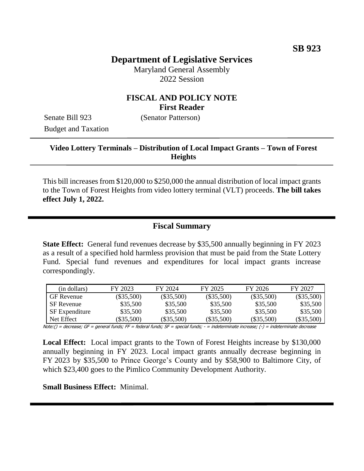## **Department of Legislative Services**

Maryland General Assembly 2022 Session

#### **FISCAL AND POLICY NOTE First Reader**

Senate Bill 923 (Senator Patterson) Budget and Taxation

### **Video Lottery Terminals – Distribution of Local Impact Grants – Town of Forest Heights**

This bill increases from \$120,000 to \$250,000 the annual distribution of local impact grants to the Town of Forest Heights from video lottery terminal (VLT) proceeds. **The bill takes effect July 1, 2022.**

#### **Fiscal Summary**

**State Effect:** General fund revenues decrease by \$35,500 annually beginning in FY 2023 as a result of a specified hold harmless provision that must be paid from the State Lottery Fund. Special fund revenues and expenditures for local impact grants increase correspondingly.

| (in dollars)          | FY 2023      | FY 2024      | FY 2025      | FY 2026      | FY 2027      |
|-----------------------|--------------|--------------|--------------|--------------|--------------|
| <b>GF</b> Revenue     | $(\$35,500)$ | $(\$35,500)$ | $(\$35,500)$ | $(\$35,500)$ | $(\$35,500)$ |
| <b>SF</b> Revenue     | \$35,500     | \$35,500     | \$35,500     | \$35,500     | \$35,500     |
| <b>SF</b> Expenditure | \$35,500     | \$35,500     | \$35,500     | \$35,500     | \$35,500     |
| Net Effect            | $(\$35,500)$ | $(\$35.500)$ | $(\$35,500)$ | $(\$35,500)$ | $(\$35,500)$ |

Note:() = decrease; GF = general funds; FF = federal funds; SF = special funds; - = indeterminate increase; (-) = indeterminate decrease

**Local Effect:** Local impact grants to the Town of Forest Heights increase by \$130,000 annually beginning in FY 2023. Local impact grants annually decrease beginning in FY 2023 by \$35,500 to Prince George's County and by \$58,900 to Baltimore City, of which \$23,400 goes to the Pimlico Community Development Authority.

#### **Small Business Effect:** Minimal.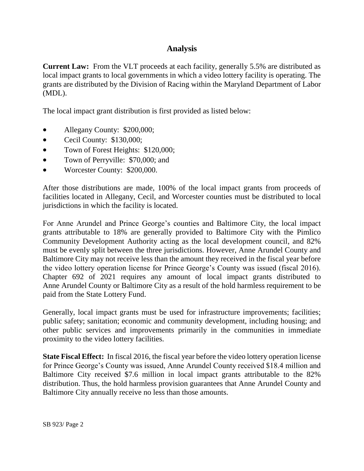### **Analysis**

**Current Law:** From the VLT proceeds at each facility, generally 5.5% are distributed as local impact grants to local governments in which a video lottery facility is operating. The grants are distributed by the Division of Racing within the Maryland Department of Labor (MDL).

The local impact grant distribution is first provided as listed below:

- Allegany County: \$200,000;
- Cecil County: \$130,000;
- Town of Forest Heights: \$120,000;
- Town of Perryville: \$70,000; and
- Worcester County: \$200,000.

After those distributions are made, 100% of the local impact grants from proceeds of facilities located in Allegany, Cecil, and Worcester counties must be distributed to local jurisdictions in which the facility is located.

For Anne Arundel and Prince George's counties and Baltimore City, the local impact grants attributable to 18% are generally provided to Baltimore City with the Pimlico Community Development Authority acting as the local development council, and 82% must be evenly split between the three jurisdictions. However, Anne Arundel County and Baltimore City may not receive less than the amount they received in the fiscal year before the video lottery operation license for Prince George's County was issued (fiscal 2016). Chapter 692 of 2021 requires any amount of local impact grants distributed to Anne Arundel County or Baltimore City as a result of the hold harmless requirement to be paid from the State Lottery Fund.

Generally, local impact grants must be used for infrastructure improvements; facilities; public safety; sanitation; economic and community development, including housing; and other public services and improvements primarily in the communities in immediate proximity to the video lottery facilities.

**State Fiscal Effect:** In fiscal 2016, the fiscal year before the video lottery operation license for Prince George's County was issued, Anne Arundel County received \$18.4 million and Baltimore City received \$7.6 million in local impact grants attributable to the 82% distribution. Thus, the hold harmless provision guarantees that Anne Arundel County and Baltimore City annually receive no less than those amounts.